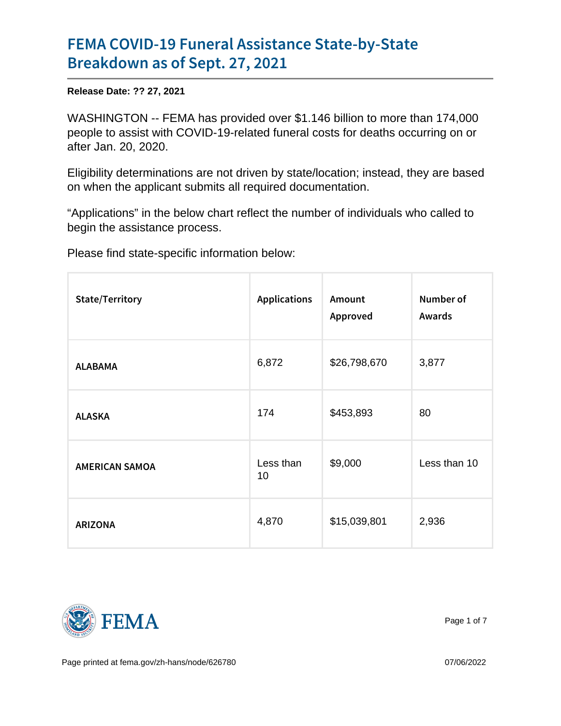## [FEMA COVID-19 Funeral Assis](https://www.fema.gov/press-release/20210927/fema-covid-19-funeral-assistance-state-state-breakdown)tance State [Breakdown as of S](https://www.fema.gov/press-release/20210927/fema-covid-19-funeral-assistance-state-state-breakdown)ept. 27, 2021

Release Date: ?? 27, 2021

WASHINGTON -- FEMA has provided over \$1.146 billion to more than 174,000 people to assist with COVID-19-related funeral costs for deaths occurring on or after Jan. 20, 2020.

Eligibility determinations are not driven by state/location; instead, they are based on when the applicant submits all required documentation.

"Applications" in the below chart reflect the number of individuals who called to begin the assistance process.

Please find state-specific information below:

| State/Territory |                 | ApplicatioAsnount<br>Approved | Number of<br>Awards |
|-----------------|-----------------|-------------------------------|---------------------|
| <b>ALABAMA</b>  | 6,872           | \$26,798,670                  | 3,877               |
| ALASKA          | 174             | \$453,893                     | 80                  |
| AMERICAN SAMOA  | Less than<br>10 | \$9,000                       | Less than 10        |
| ARIZONA         | 4,870           | \$15,039,801                  | 2,936               |



Page 1 of 7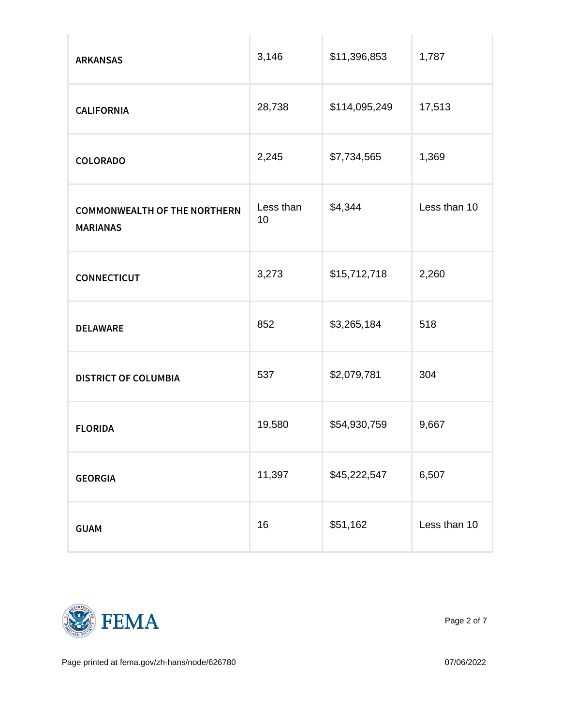| <b>ARKANSAS</b>                                 | 3,146  | \$11,396,853  | 1,787        |
|-------------------------------------------------|--------|---------------|--------------|
| CALIFORNIA                                      | 28,738 | \$114,095,249 | 17,513       |
| COLORADO                                        | 2,245  | \$7,734,565   | 1,369        |
| COMMONWEALTH OF THE ESSENTHE SEAS44<br>MARIANAS | 10     |               | Less than 10 |
| CONNECTICUT                                     | 3,273  | \$15,712,718  | 2,260        |
| DELAWARE                                        | 852    | \$3,265,184   | 518          |
| DISTRICT OF COLUMBIA 537                        |        | \$2,079,781   | 304          |
| <b>FLORIDA</b>                                  | 19,580 | \$54,930,759  | 9,667        |
| <b>GEORGIA</b>                                  | 11,397 | \$45,222,547  | 6,507        |
| GUAM                                            | 16     | \$51,162      | Less than 10 |



Page 2 of 7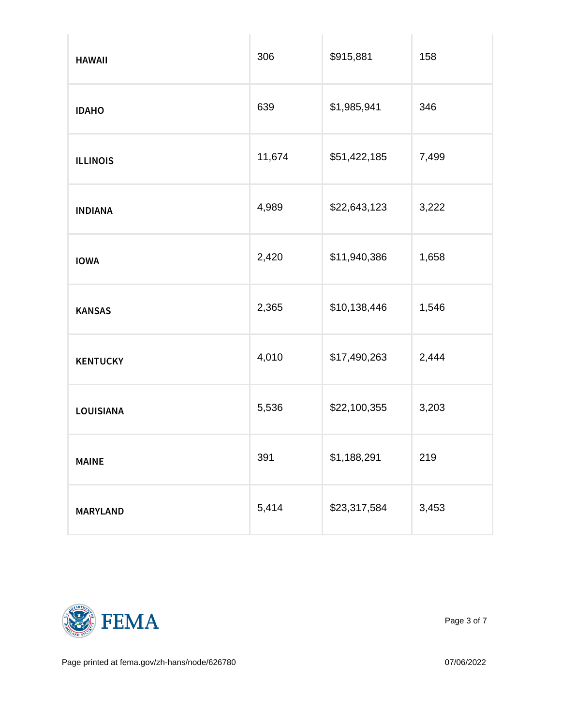| HAWAII          | 306    | \$915,881    | 158   |
|-----------------|--------|--------------|-------|
| IDAHO           | 639    | \$1,985,941  | 346   |
| <b>ILLINOIS</b> | 11,674 | \$51,422,185 | 7,499 |
| INDIANA         | 4,989  | \$22,643,123 | 3,222 |
| <b>IOWA</b>     | 2,420  | \$11,940,386 | 1,658 |
| KANSAS          | 2,365  | \$10,138,446 | 1,546 |
| KENTUCKY        | 4,010  | \$17,490,263 | 2,444 |
| LOUISIANA       | 5,536  | \$22,100,355 | 3,203 |
| MAINE           | 391    | \$1,188,291  | 219   |
| MARYLAND        | 5,414  | \$23,317,584 | 3,453 |



Page 3 of 7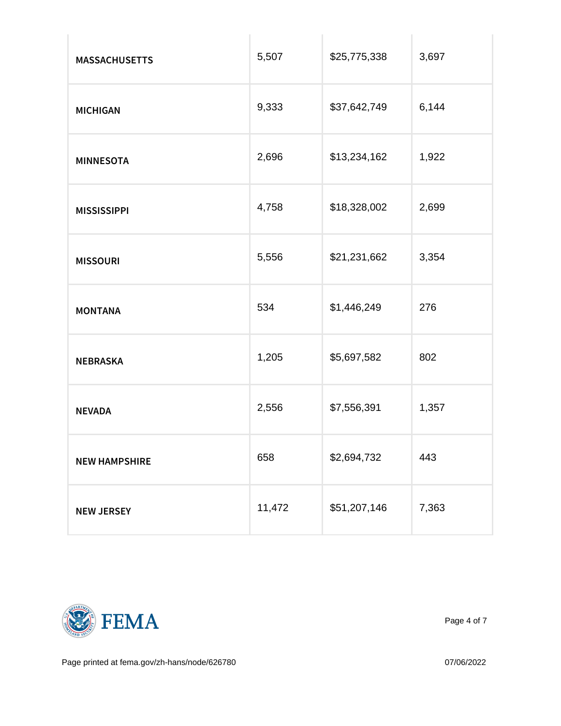| <b>MASSACHUSETTS</b> | 5,507  | \$25,775,338 | 3,697 |
|----------------------|--------|--------------|-------|
| MICHIGAN             | 9,333  | \$37,642,749 | 6,144 |
| MINNESOTA            | 2,696  | \$13,234,162 | 1,922 |
| <b>MISSISSIPPI</b>   | 4,758  | \$18,328,002 | 2,699 |
| <b>MISSOURI</b>      | 5,556  | \$21,231,662 | 3,354 |
| MONTANA              | 534    | \$1,446,249  | 276   |
| NEBRASKA             | 1,205  | \$5,697,582  | 802   |
| NEVADA               | 2,556  | \$7,556,391  | 1,357 |
| <b>NEW HAMPSHIRE</b> | 658    | \$2,694,732  | 443   |
| NEW JERSEY           | 11,472 | \$51,207,146 | 7,363 |



Page 4 of 7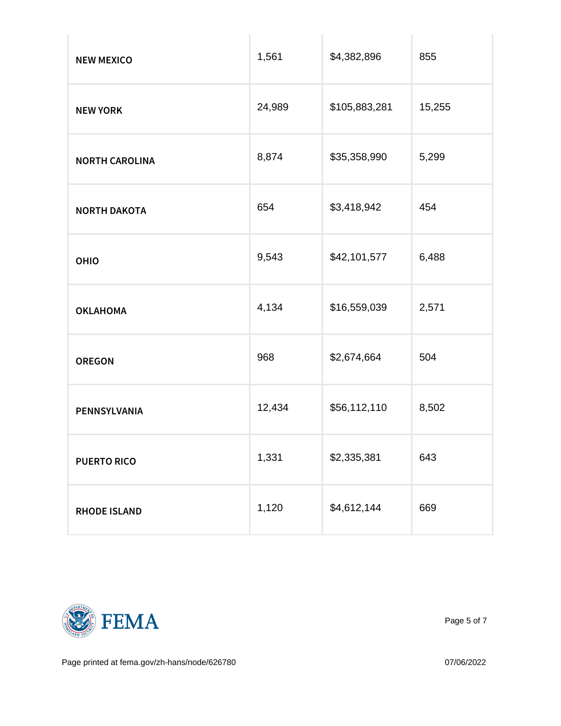| NEW MEXICO     | 1,561  | \$4,382,896   | 855    |
|----------------|--------|---------------|--------|
| NEW YORK       | 24,989 | \$105,883,281 | 15,255 |
| NORTH CAROLINA | 8,874  | \$35,358,990  | 5,299  |
| NORTH DAKOTA   | 654    | \$3,418,942   | 454    |
| OHIO           | 9,543  | \$42,101,577  | 6,488  |
| OKLAHOMA       | 4,134  | \$16,559,039  | 2,571  |
| OREGON         | 968    | \$2,674,664   | 504    |
| PENNSYLVANIA   | 12,434 | \$56,112,110  | 8,502  |
| PUERTO RICO    | 1,331  | \$2,335,381   | 643    |
| RHODE ISLAND   | 1,120  | \$4,612,144   | 669    |



Page 5 of 7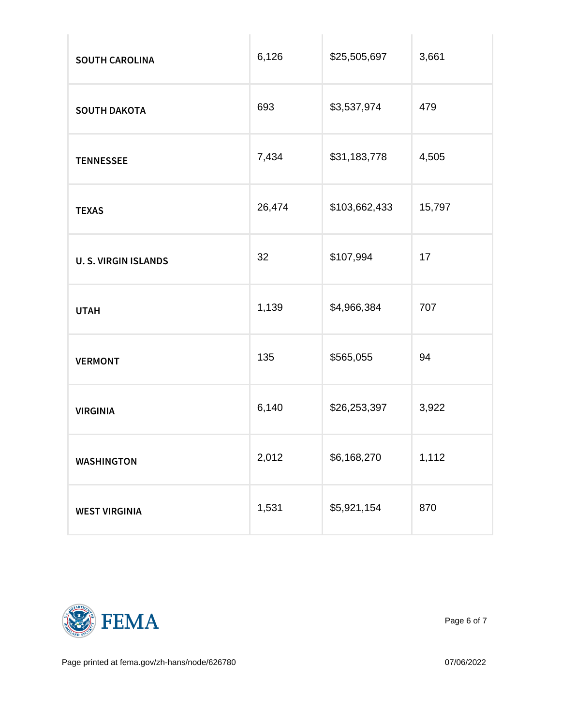| SOUTH CAROLINA       | 6,126  | \$25,505,697  | 3,661  |
|----------------------|--------|---------------|--------|
| SOUTH DAKOTA         | 693    | \$3,537,974   | 479    |
| <b>TENNESSEE</b>     | 7,434  | \$31,183,778  | 4,505  |
| <b>TEXAS</b>         | 26,474 | \$103,662,433 | 15,797 |
| U. S. VIRGIN ISLANDS | 32     | \$107,994     | 17     |
| UTAH                 | 1,139  | \$4,966,384   | 707    |
| VERMONT              | 135    | \$565,055     | 94     |
| <b>VIRGINIA</b>      | 6,140  | \$26,253,397  | 3,922  |
| WASHINGTON           | 2,012  | \$6,168,270   | 1,112  |
| WEST VIRGINIA        | 1,531  | \$5,921,154   | 870    |



Page 6 of 7